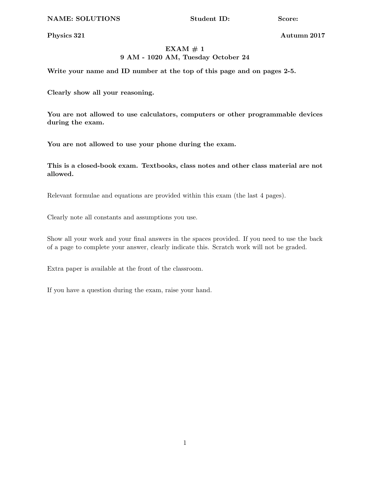NAME: SOLUTIONS Student ID: Score:

Physics 321 Autumn 2017

# $EXAMPLEXAM \# 1$ 9 AM - 1020 AM, Tuesday October 24

Write your name and ID number at the top of this page and on pages 2-5.

Clearly show all your reasoning.

You are not allowed to use calculators, computers or other programmable devices during the exam.

You are not allowed to use your phone during the exam.

This is a closed-book exam. Textbooks, class notes and other class material are not allowed.

Relevant formulae and equations are provided within this exam (the last 4 pages).

Clearly note all constants and assumptions you use.

Show all your work and your final answers in the spaces provided. If you need to use the back of a page to complete your answer, clearly indicate this. Scratch work will not be graded.

Extra paper is available at the front of the classroom.

If you have a question during the exam, raise your hand.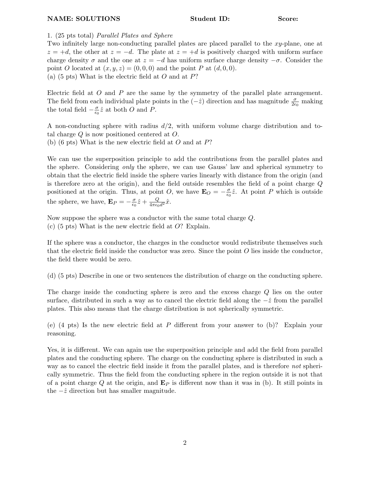## 1. (25 pts total) *Parallel Plates and Sphere*

Two infinitely large non-conducting parallel plates are placed parallel to the *xy*-plane, one at  $z = +d$ , the other at  $z = -d$ . The plate at  $z = +d$  is positively charged with uniform surface charge density  $\sigma$  and the one at  $z = -d$  has uniform surface charge density  $-\sigma$ . Consider the point *O* located at  $(x, y, z) = (0, 0, 0)$  and the point *P* at  $(d, 0, 0)$ . (a) (5 pts) What is the electric field at *O* and at *P*?

Electric field at *O* and *P* are the same by the symmetry of the parallel plate arrangement. The field from each individual plate points in the  $(-\hat{z})$  direction and has magnitude  $\frac{\sigma}{2\epsilon_0}$  making the total field  $-\frac{\sigma}{\epsilon_0}\hat{z}$  at both *O* and *P*.

A non-conducting sphere with radius *d/*2, with uniform volume charge distribution and total charge *Q* is now positioned centered at *O*. (b) (6 pts) What is the new electric field at *O* and at *P*?

We can use the superposition principle to add the contributions from the parallel plates and the sphere. Considering *only* the sphere, we can use Gauss' law and spherical symmetry to obtain that the electric field inside the sphere varies linearly with distance from the origin (and is therefore zero at the origin), and the field outside resembles the field of a point charge *Q* positioned at the origin. Thus, at point *O*, we have  $\mathbf{E}_O = -\frac{\sigma}{\epsilon_0}\hat{z}$ . At point *P* which is outside the sphere, we have,  $\mathbf{E}_P = -\frac{\sigma}{\epsilon_0}\hat{z} + \frac{Q}{4\pi\epsilon_0 d^2}\hat{x}$ .

Now suppose the sphere was a conductor with the same total charge *Q*.

(c) (5 pts) What is the new electric field at *O*? Explain.

If the sphere was a conductor, the charges in the conductor would redistribute themselves such that the electric field inside the conductor was zero. Since the point *O* lies inside the conductor, the field there would be zero.

(d) (5 pts) Describe in one or two sentences the distribution of charge on the conducting sphere.

The charge inside the conducting sphere is zero and the excess charge *Q* lies on the outer surface, distributed in such a way as to cancel the electric field along the  $-\hat{z}$  from the parallel plates. This also means that the charge distribution is not spherically symmetric.

(e)  $(4 \text{ pts})$  Is the new electric field at P different from your answer to  $(b)$ ? Explain your reasoning.

Yes, it is different. We can again use the superposition principle and add the field from parallel plates and the conducting sphere. The charge on the conducting sphere is distributed in such a way as to cancel the electric field inside it from the parallel plates, and is therefore *not* spherically symmetric. Thus the field from the conducting sphere in the region outside it is not that of a point charge Q at the origin, and  $\mathbf{E}_P$  is different now than it was in (b). It still points in the  $-\hat{z}$  direction but has smaller magnitude.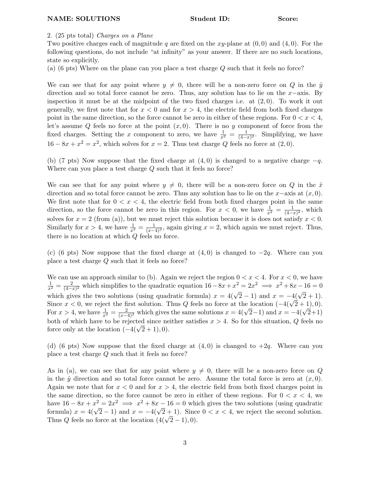2. (25 pts total) *Charges on a Plane*

Two positive charges each of magnitude *q* are fixed on the *xy*-plane at (0*,* 0) and (4*,* 0). For the following questions, do not include "at infinity" as your answer. If there are no such locations, state so explicitly.

(a) (6 pts) Where on the plane can you place a test charge *Q* such that it feels no force?

We can see that for any point where  $y \neq 0$ , there will be a non-zero force on *Q* in the  $\hat{y}$ direction and so total force cannot be zero. Thus, any solution has to lie on the  $x$ -axis. By inspection it must be at the midpoint of the two fixed charges i.e. at (2*,* 0). To work it out generally, we first note that for  $x < 0$  and for  $x > 4$ , the electric field from both fixed charges point in the same direction, so the force cannot be zero in either of these regions. For  $0 < x < 4$ , let's assume  $Q$  feels no force at the point  $(x, 0)$ . There is no  $y$  component of force from the fixed charges. Setting the *x* component to zero, we have  $\frac{1}{x^2} = \frac{1}{(4-x)^2}$ . Simplifying, we have  $16 - 8x + x^2 = x^2$ , which solves for  $x = 2$ . Thus test charge *Q* feels no force at  $(2, 0)$ .

(b) (7 pts) Now suppose that the fixed charge at  $(4, 0)$  is changed to a negative charge  $-q$ . Where can you place a test charge *Q* such that it feels no force?

We can see that for any point where  $y \neq 0$ , there will be a non-zero force on *Q* in the  $\hat{x}$ direction and so total force cannot be zero. Thus any solution has to lie on the  $x$ -axis at  $(x, 0)$ . We first note that for  $0 < x < 4$ , the electric field from both fixed charges point in the same direction, so the force cannot be zero in this region. For  $x < 0$ , we have  $\frac{1}{x^2} = \frac{1}{(4-x)^2}$ , which solves for  $x = 2$  (from (a)), but we must reject this solution because it is does not satisfy  $x < 0$ . Similarly for  $x > 4$ , we have  $\frac{1}{x^2} = \frac{1}{(x-4)^2}$ , again giving  $x = 2$ , which again we must reject. Thus, there is no location at which *Q* feels no force.

(c) (6 pts) Now suppose that the fixed charge at  $(4, 0)$  is changed to  $-2q$ . Where can you place a test charge *Q* such that it feels no force?

We can use an approach similar to (b). Again we reject the region  $0 < x < 4$ . For  $x < 0$ , we have  $\frac{1}{x^2} = \frac{2}{(4-x)^2}$  which simplifies to the quadratic equation  $16-8x+x^2 = 2x^2 \implies x^2+8x-16 = 0$ which gives the two solutions (using quadratic formula)  $x = 4(\sqrt{2} - 1)$  and  $x = -4(\sqrt{2} + 1)$ . Since  $x < 0$ , we reject the first solution. Thus *Q* feels no force at the location  $(-4(\sqrt{2} + 1), 0)$ . For  $x > 4$ , we have  $\frac{1}{x^2} = \frac{2}{(x-4)^2}$  which gives the same solutions  $x = 4(\sqrt{2}-1)$  and  $x = -4(\sqrt{2}+1)$ both of which have to be rejected since neither satisfies  $x > 4$ . So for this situation, *Q* feels no force only at the location  $(-4(\sqrt{2} + 1), 0)$ .

(d) (6 pts) Now suppose that the fixed charge at  $(4,0)$  is changed to  $+2q$ . Where can you place a test charge *Q* such that it feels no force?

As in (a), we can see that for any point where  $y \neq 0$ , there will be a non-zero force on *Q* in the  $\hat{y}$  direction and so total force cannot be zero. Assume the total force is zero at  $(x, 0)$ . Again we note that for  $x < 0$  and for  $x > 4$ , the electric field from both fixed charges point in the same direction, so the force cannot be zero in either of these regions. For  $0 < x < 4$ , we have  $16 - 8x + x^2 = 2x^2 \implies x^2 + 8x - 16 = 0$  which gives the two solutions (using quadratic formula)  $x = 4(\sqrt{2} - 1)$  and  $x = -4(\sqrt{2} + 1)$ . Since  $0 < x < 4$ , we reject the second solution. Thus *Q* feels no force at the location  $(4(\sqrt{2}-1), 0)$ .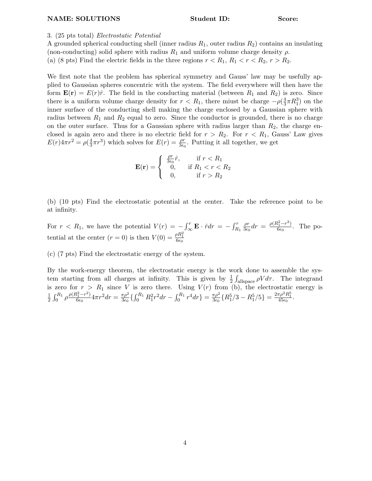### NAME: SOLUTIONS Student ID: Score:

### 3. (25 pts total) *Electrostatic Potential*

A grounded spherical conducting shell (inner radius  $R_1$ , outer radius  $R_2$ ) contains an insulating (non-conducting) solid sphere with radius  $R_1$  and uniform volume charge density  $\rho$ . (a) (8 pts) Find the electric fields in the three regions  $r < R_1, R_1 < r < R_2, r > R_2$ .

We first note that the problem has spherical symmetry and Gauss' law may be usefully applied to Gaussian spheres concentric with the system. The field everywhere will then have the form  $\mathbf{E}(\mathbf{r}) = E(r)\hat{r}$ . The field in the conducting material (between  $R_1$  and  $R_2$ ) is zero. Since there is a uniform volume charge density for  $r < R_1$ , there miust be charge  $-\rho(\frac{4}{3}\pi R_1^3)$  on the inner surface of the conducting shell making the charge enclosed by a Gaussian sphere with radius between  $R_1$  and  $R_2$  equal to zero. Since the conductor is grounded, there is no charge on the outer surface. Thus for a Gaussian sphere with radius larger than  $R_2$ , the charge enclosed is again zero and there is no electric field for  $r > R_2$ . For  $r < R_1$ , Gauss' Law gives  $E(r)4\pi r^2 = \rho(\frac{4}{3}\pi r^3)$  which solves for  $E(r) = \frac{\rho r}{3\epsilon_0}$ . Putting it all together, we get

$$
\mathbf{E}(\mathbf{r}) = \begin{cases} \frac{\rho r}{3\epsilon_0}\hat{r}, & \text{if } r < R_1\\ 0, & \text{if } R_1 < r < R_2\\ 0, & \text{if } r > R_2 \end{cases}
$$

(b) (10 pts) Find the electrostatic potential at the center. Take the reference point to be at infinity.

For  $r < R_1$ , we have the potential  $V(r) = -\int_{-\infty}^{r} \mathbf{E} \cdot \hat{r} dr = -\int_{R_1}^{r}$  $\frac{\rho r}{3\epsilon_0}dr = \frac{\rho (R_1^2-r^2)}{6\epsilon_0}$ . The potential at the center  $(r = 0)$  is then  $V(0) = \frac{\rho R_1^2}{6\epsilon_0}$ 

(c) (7 pts) Find the electrostatic energy of the system.

By the work-energy theorem, the electrostatic energy is the work done to assemble the system starting from all charges at infinity. This is given by  $\frac{1}{2} \int_{\text{allspace}} \rho V d\tau$ . The integrand is zero for  $r > R_1$  since *V* is zero there. Using  $V(r)$  from (b), the electrostatic energy is 1  $\frac{1}{2}\int_0^{R_1}\rho\frac{\rho(R_1^2-r^2)}{6\epsilon_0}4\pi r^2dr = \frac{\pi\rho^2}{3\epsilon_0}\left\{\int_0^{R_1}R_1^2r^2dr - \int_0^{R_1}r^4dr\right\} = \frac{\pi\rho^2}{3\epsilon_0}\left\{R_1^5/3 - R_1^5/5\right\} = \frac{2\pi\rho^2R_1^5}{45\epsilon_0}.$